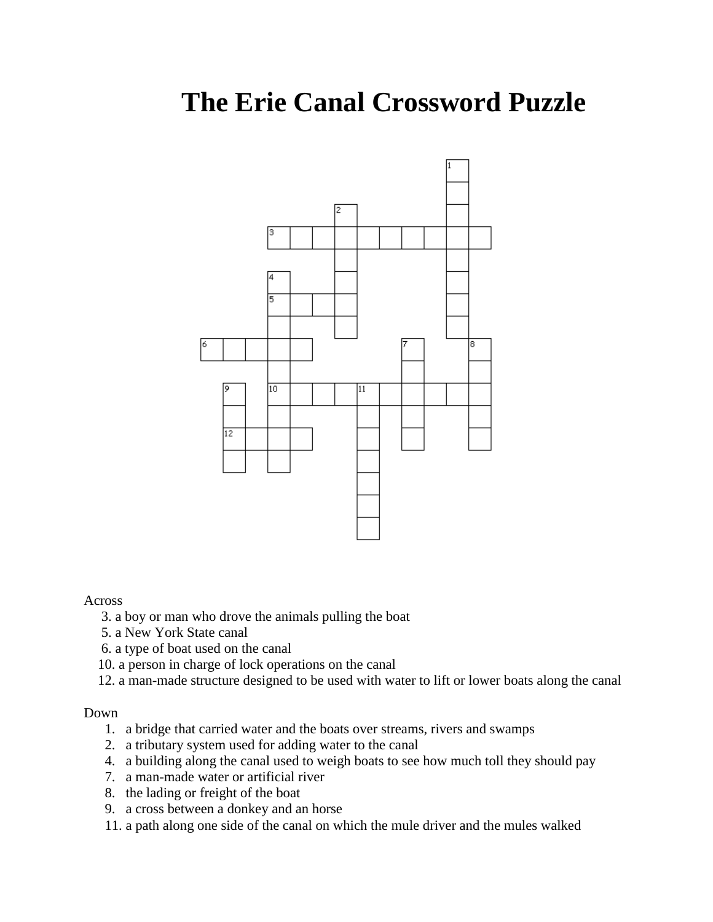# **The Erie Canal Crossword Puzzle**



### Across

- 3. a boy or man who drove the animals pulling the boat
- 5. a New York State canal
- 6. a type of boat used on the canal
- 10. a person in charge of lock operations on the canal
- 12. a man-made structure designed to be used with water to lift or lower boats along the canal

#### Down

- 1. a bridge that carried water and the boats over streams, rivers and swamps
- 2. a tributary system used for adding water to the canal
- 4. a building along the canal used to weigh boats to see how much toll they should pay
- 7. a man-made water or artificial river
- 8. the lading or freight of the boat
- 9. a cross between a donkey and an horse
- 11. a path along one side of the canal on which the mule driver and the mules walked